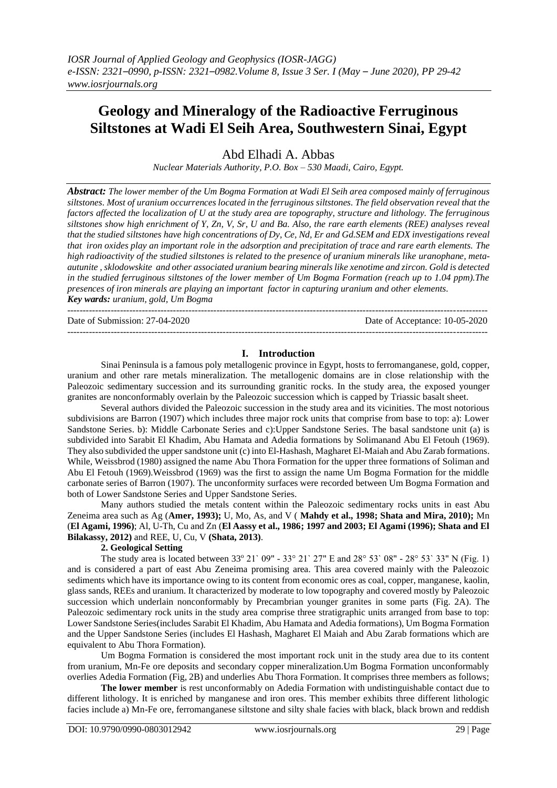# **Geology and Mineralogy of the Radioactive Ferruginous Siltstones at Wadi El Seih Area, Southwestern Sinai, Egypt**

Abd Elhadi A. Abbas

*Nuclear Materials Authority, P.O. Box – 530 Maadi, Cairo, Egypt.*

*Abstract: The lower member of the Um Bogma Formation at Wadi El Seih area composed mainly of ferruginous siltstones. Most of uranium occurrences located in the ferruginous siltstones. The field observation revealthat the factors affected the localization of U at the study area are topography, structure and lithology. The ferruginous siltstones show high enrichment of Y, Zn, V, Sr, U and Ba. Also, the rare earth elements (REE) analyses reveal that the studied siltstones have high concentrations of Dy, Ce, Nd, Er and Gd.SEM and EDX investigations reveal that iron oxides play an important role in the adsorption and precipitation of trace and rare earth elements. The high radioactivity of the studied siltstones is related to the presence of uranium minerals like uranophane, metaautunite , sklodowskite and other associated uranium bearing minerals like xenotime and zircon. Gold is detected in the studied ferruginous siltstones of the lower member of Um Bogma Formation (reach up to 1.04 ppm).The presences of iron minerals are playing an important factor in capturing uranium and other elements. Key wards: uranium, gold, Um Bogma* ---------------------------------------------------------------------------------------------------------------------------------------

Date of Submission: 27-04-2020 Date of Acceptance: 10-05-2020

#### ---------------------------------------------------------------------------------------------------------------------------------------

#### **I. Introduction**

Sinai Peninsula is a famous poly metallogenic province in Egypt, hosts to ferromanganese, gold, copper, uranium and other rare metals mineralization. The metallogenic domains are in close relationship with the Paleozoic sedimentary succession and its surrounding granitic rocks. In the study area, the exposed younger granites are nonconformably overlain by the Paleozoic succession which is capped by Triassic basalt sheet.

Several authors divided the Paleozoic succession in the study area and its vicinities. The most notorious subdivisions are Barron (1907) which includes three major rock units that comprise from base to top: a): Lower Sandstone Series. b): Middle Carbonate Series and c):Upper Sandstone Series. The basal sandstone unit (a) is subdivided into Sarabit El Khadim, Abu Hamata and Adedia formations by Solimanand Abu El Fetouh (1969). They also subdivided the upper sandstone unit (c) into El-Hashash, Magharet El-Maiah and Abu Zarab formations. While, Weissbrod (1980) assigned the name Abu Thora Formation for the upper three formations of Soliman and Abu El Fetouh (1969).Weissbrod (1969) was the first to assign the name Um Bogma Formation for the middle carbonate series of Barron (1907). The unconformity surfaces were recorded between Um Bogma Formation and both of Lower Sandstone Series and Upper Sandstone Series.

Many authors studied the metals content within the Paleozoic sedimentary rocks units in east Abu Zeneima area such as Ag (**Amer, 1993);** U, Mo, As, and V ( **Mahdy et al., 1998; Shata and Mira, 2010);** Mn (**El Agami, 1996)**; Al, U-Th, Cu and Zn (**El Aassy et al., 1986; 1997 and 2003; El Agami (1996); Shata and El Bilakassy, 2012)** and REE, U, Cu, V **(Shata, 2013)**.

## **2. Geological Setting**

The study area is located between 33° 21′ 09″ - 33° 21′ 27″ E and 28° 53′ 08″ - 28° 53′ 33″ N (Fig. 1) and is considered a part of east Abu Zeneima promising area. This area covered mainly with the Paleozoic sediments which have its importance owing to its content from economic ores as coal, copper, manganese, kaolin, glass sands, REEs and uranium. It characterized by moderate to low topography and covered mostly by Paleozoic succession which underlain nonconformably by Precambrian younger granites in some parts (Fig. 2A). The Paleozoic sedimentary rock units in the study area comprise three stratigraphic units arranged from base to top: Lower Sandstone Series(includes Sarabit El Khadim, Abu Hamata and Adedia formations), Um Bogma Formation and the Upper Sandstone Series (includes El Hashash, Magharet El Maiah and Abu Zarab formations which are equivalent to Abu Thora Formation).

Um Bogma Formation is considered the most important rock unit in the study area due to its content from uranium, Mn-Fe ore deposits and secondary copper mineralization.Um Bogma Formation unconformably overlies Adedia Formation (Fig, 2B) and underlies Abu Thora Formation. It comprises three members as follows;

**The lower member** is rest unconformably on Adedia Formation with undistinguishable contact due to different lithology. It is enriched by manganese and iron ores. This member exhibits three different lithologic facies include a) Mn-Fe ore, ferromanganese siltstone and silty shale facies with black, black brown and reddish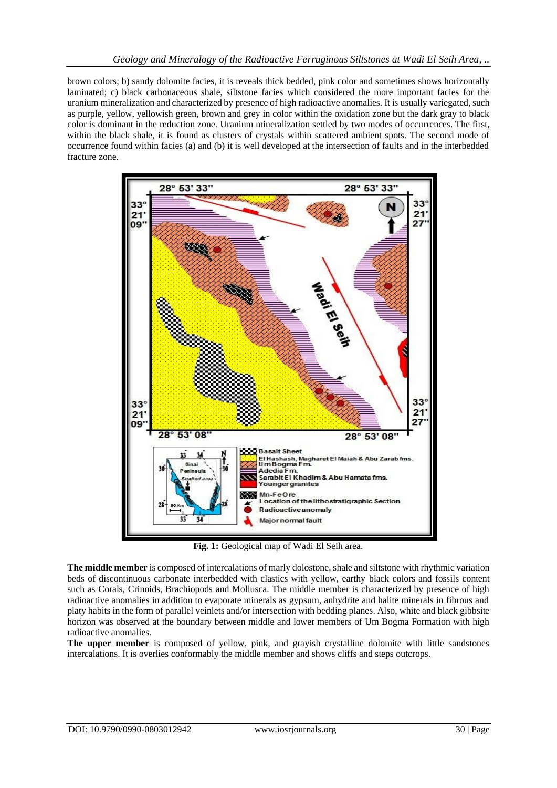brown colors; b) sandy dolomite facies, it is reveals thick bedded, pink color and sometimes shows horizontally laminated; c) black carbonaceous shale, siltstone facies which considered the more important facies for the uranium mineralization and characterized by presence of high radioactive anomalies. It is usually variegated, such as purple, yellow, yellowish green, brown and grey in color within the oxidation zone but the dark gray to black color is dominant in the reduction zone. Uranium mineralization settled by two modes of occurrences. The first, within the black shale, it is found as clusters of crystals within scattered ambient spots. The second mode of occurrence found within facies (a) and (b) it is well developed at the intersection of faults and in the interbedded fracture zone.



**Fig. 1:** Geological map of Wadi El Seih area.

**The middle member** is composed of intercalations of marly dolostone, shale and siltstone with rhythmic variation beds of discontinuous carbonate interbedded with clastics with yellow, earthy black colors and fossils content such as Corals, Crinoids, Brachiopods and Mollusca. The middle member is characterized by presence of high radioactive anomalies in addition to evaporate minerals as gypsum, anhydrite and halite minerals in fibrous and platy habits in the form of parallel veinlets and/or intersection with bedding planes. Also, white and black gibbsite horizon was observed at the boundary between middle and lower members of Um Bogma Formation with high radioactive anomalies.

**The upper member** is composed of yellow, pink, and grayish crystalline dolomite with little sandstones intercalations. It is overlies conformably the middle member and shows cliffs and steps outcrops.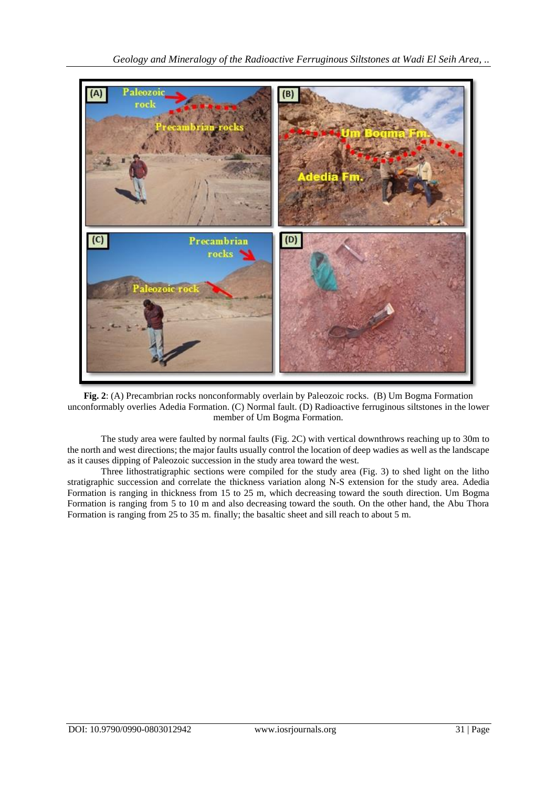

**Fig. 2**: (A) Precambrian rocks nonconformably overlain by Paleozoic rocks. (B) Um Bogma Formation unconformably overlies Adedia Formation. (C) Normal fault. (D) Radioactive ferruginous siltstones in the lower member of Um Bogma Formation.

The study area were faulted by normal faults (Fig. 2C) with vertical downthrows reaching up to 30m to the north and west directions; the major faults usually control the location of deep wadies as well as the landscape as it causes dipping of Paleozoic succession in the study area toward the west.

Three lithostratigraphic sections were compiled for the study area (Fig. 3) to shed light on the litho stratigraphic succession and correlate the thickness variation along N-S extension for the study area. Adedia Formation is ranging in thickness from 15 to 25 m, which decreasing toward the south direction. Um Bogma Formation is ranging from 5 to 10 m and also decreasing toward the south. On the other hand, the Abu Thora Formation is ranging from 25 to 35 m. finally; the basaltic sheet and sill reach to about 5 m.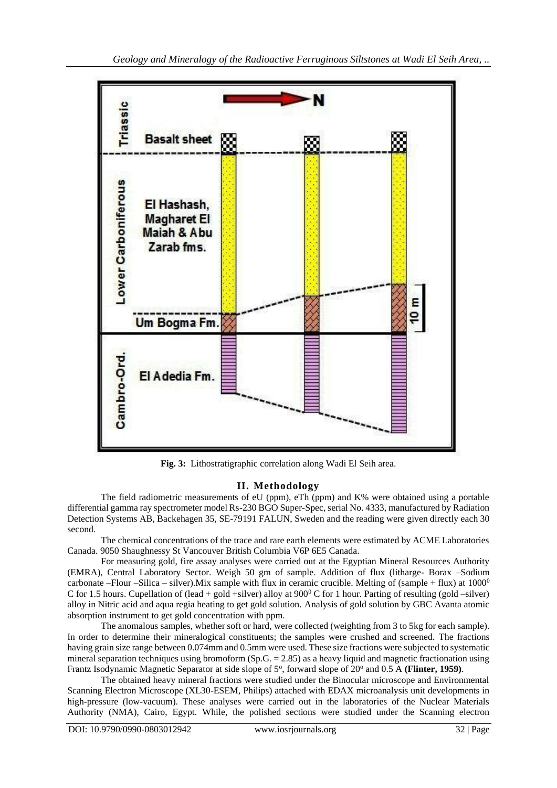

**Fig. 3:** Lithostratigraphic correlation along Wadi El Seih area.

# **II. Methodology**

The field radiometric measurements of eU (ppm), eTh (ppm) and K% were obtained using a portable differential gamma ray spectrometer model Rs-230 BGO Super-Spec, serial No. 4333, manufactured by Radiation Detection Systems AB, Backehagen 35, SE-79191 FALUN, Sweden and the reading were given directly each 30 second.

The chemical concentrations of the trace and rare earth elements were estimated by ACME Laboratories Canada. 9050 Shaughnessy St Vancouver British Columbia V6P 6E5 Canada.

For measuring gold, fire assay analyses were carried out at the Egyptian Mineral Resources Authority (EMRA), Central Laboratory Sector. Weigh 50 gm of sample. Addition of flux (litharge- Borax –Sodium carbonate –Flour –Silica – silver).Mix sample with flux in ceramic crucible. Melting of (sample + flux) at  $1000^0$ C for 1.5 hours. Cupellation of (lead + gold +silver) alloy at  $900^{\circ}$  C for 1 hour. Parting of resulting (gold –silver) alloy in Nitric acid and aqua regia heating to get gold solution. Analysis of gold solution by GBC Avanta atomic absorption instrument to get gold concentration with ppm.

The anomalous samples, whether soft or hard, were collected (weighting from 3 to 5kg for each sample). In order to determine their mineralogical constituents; the samples were crushed and screened. The fractions having grain size range between 0.074mm and 0.5mm were used. These size fractions were subjected to systematic mineral separation techniques using bromoform (Sp.G. = 2.85) as a heavy liquid and magnetic fractionation using Frantz Isodynamic Magnetic Separator at side slope of 5°, forward slope of 20° and 0.5 A (Flinter, 1959).

The obtained heavy mineral fractions were studied under the Binocular microscope and Environmental Scanning Electron Microscope (XL30-ESEM, Philips) attached with EDAX microanalysis unit developments in high-pressure (low-vacuum). These analyses were carried out in the laboratories of the Nuclear Materials Authority (NMA), Cairo, Egypt. While, the polished sections were studied under the Scanning electron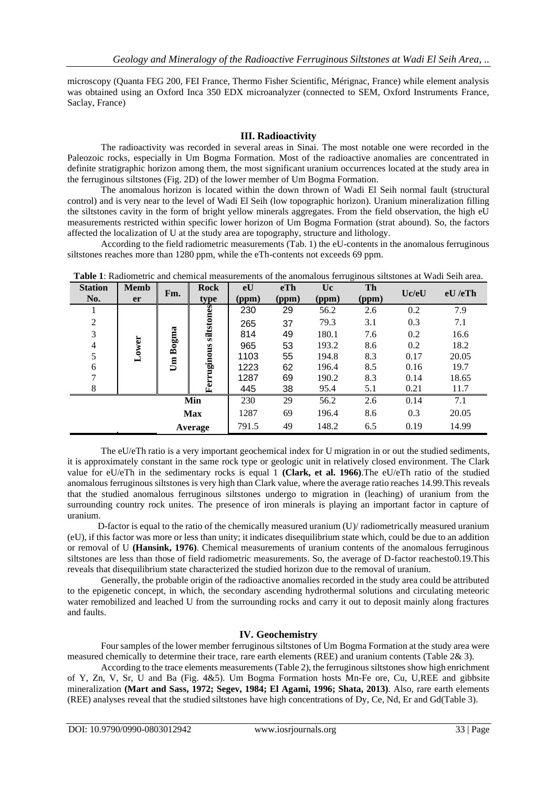microscopy (Quanta FEG 200, FEI France, Thermo Fisher Scientific, Mérignac, France) while element analysis was obtained using an Oxford Inca 350 EDX microanalyzer (connected to SEM, Oxford Instruments France, Saclay, France)

## **III. Radioactivity**

The radioactivity was recorded in several areas in Sinai. The most notable one were recorded in the Paleozoic rocks, especially in Um Bogma Formation. Most of the radioactive anomalies are concentrated in definite stratigraphic horizon among them, the most significant uranium occurrences located at the study area in the ferruginous siltstones (Fig. 2D) of the lower member of Um Bogma Formation.

The anomalous horizon is located within the down thrown of Wadi El Seih normal fault (structural control) and is very near to the level of Wadi El Seih (low topographic horizon). Uranium mineralization filling the siltstones cavity in the form of bright yellow minerals aggregates. From the field observation, the high eU measurements restricted within specific lower horizon of Um Bogma Formation (strat abound). So, the factors affected the localization of U at the study area are topography, structure and lithology.

According to the field radiometric measurements (Tab. 1) the eU-contents in the anomalous ferruginous siltstones reaches more than 1280 ppm, while the eTh-contents not exceeds 69 ppm.

| <b>Station</b> | <b>Memb</b> | Fm.   | <b>Rock</b>            | eU    | eTh   | Uc.   | Th    | Uc/eU | <b>Tuble 1.</b> Industribute and chemical incaparements of the anomatous ferragmous shistones at 11 and bein area.<br>eU/erh |
|----------------|-------------|-------|------------------------|-------|-------|-------|-------|-------|------------------------------------------------------------------------------------------------------------------------------|
| No.            | <b>er</b>   |       | type                   | (ppm) | (ppm) | (ppm) | (ppm) |       |                                                                                                                              |
|                |             | Bogma | siltstones<br>ruginous | 230   | 29    | 56.2  | 2.6   | 0.2   | 7.9                                                                                                                          |
| $\overline{2}$ |             |       |                        | 265   | 37    | 79.3  | 3.1   | 0.3   | 7.1                                                                                                                          |
| 3              |             |       |                        | 814   | 49    | 180.1 | 7.6   | 0.2   | 16.6                                                                                                                         |
| $\overline{4}$ | ower.       |       |                        | 965   | 53    | 193.2 | 8.6   | 0.2   | 18.2                                                                                                                         |
| 5              |             | Um    |                        | 1103  | 55    | 194.8 | 8.3   | 0.17  | 20.05                                                                                                                        |
| 6              |             |       |                        | 1223  | 62    | 196.4 | 8.5   | 0.16  | 19.7                                                                                                                         |
| 7              |             |       |                        | 1287  | 69    | 190.2 | 8.3   | 0.14  | 18.65                                                                                                                        |
| 8              |             |       | 입                      | 445   | 38    | 95.4  | 5.1   | 0.21  | 11.7                                                                                                                         |
| Min            |             |       | 230                    | 29    | 56.2  | 2.6   | 0.14  | 7.1   |                                                                                                                              |
|                |             |       | <b>Max</b>             | 1287  | 69    | 196.4 | 8.6   | 0.3   | 20.05                                                                                                                        |
|                |             |       | Average                | 791.5 | 49    | 148.2 | 6.5   | 0.19  | 14.99                                                                                                                        |

**Table 1**: Radiometric and chemical measurements of the anomalous ferruginous siltstones at Wadi Seih area.

The eU/eTh ratio is a very important geochemical index for U migration in or out the studied sediments, it is approximately constant in the same rock type or geologic unit in relatively closed environment. The Clark value for eU/eTh in the sedimentary rocks is equal 1 **(Clark, et al. 1966)**.The eU/eTh ratio of the studied anomalous ferruginous siltstones is very high than Clark value, where the average ratio reaches 14.99.This reveals that the studied anomalous ferruginous siltstones undergo to migration in (leaching) of uranium from the surrounding country rock unites. The presence of iron minerals is playing an important factor in capture of uranium.

 D-factor is equal to the ratio of the chemically measured uranium (U)/ radiometrically measured uranium (eU), if this factor was more or less than unity; it indicates disequilibrium state which, could be due to an addition or removal of U **(Hansink, 1976)**. Chemical measurements of uranium contents of the anomalous ferruginous siltstones are less than those of field radiometric measurements. So, the average of D-factor reachesto0.19.This reveals that disequilibrium state characterized the studied horizon due to the removal of uranium.

Generally, the probable origin of the radioactive anomalies recorded in the study area could be attributed to the epigenetic concept, in which, the secondary ascending hydrothermal solutions and circulating meteoric water remobilized and leached U from the surrounding rocks and carry it out to deposit mainly along fractures and faults.

## **IV. Geochemistry**

Four samples of the lower member ferruginous siltstones of Um Bogma Formation at the study area were measured chemically to determine their trace, rare earth elements (REE) and uranium contents (Table 2& 3).

According to the trace elements measurements (Table 2), the ferruginous siltstones show high enrichment of Y, Zn, V, Sr, U and Ba (Fig. 4&5). Um Bogma Formation hosts Mn-Fe ore, Cu, U,REE and gibbsite mineralization **(Mart and Sass, 1972; Segev, 1984; El Agami, 1996; Shata, 2013)**. Also, rare earth elements (REE) analyses reveal that the studied siltstones have high concentrations of Dy, Ce, Nd, Er and Gd(Table 3).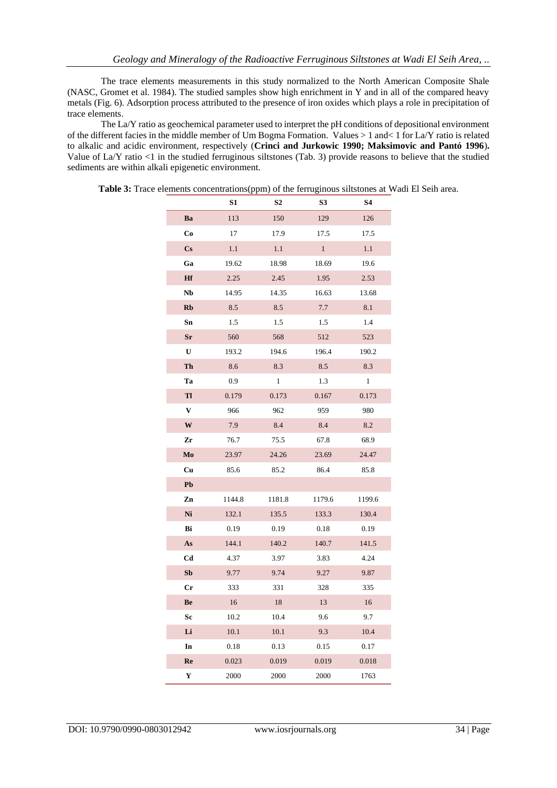The trace elements measurements in this study normalized to the North American Composite Shale (NASC, Gromet et al. 1984). The studied samples show high enrichment in Y and in all of the compared heavy metals (Fig. 6). Adsorption process attributed to the presence of iron oxides which plays a role in precipitation of trace elements.

The La/Y ratio as geochemical parameter used to interpret the pH conditions of depositional environment of the different facies in the middle member of Um Bogma Formation. Values > 1 and< 1 for La/Y ratio is related to alkalic and acidic environment, respectively (**Crinci and Jurkowic 1990; Maksimovic and Pantó 1996**)**.** Value of La/Y ratio <1 in the studied ferruginous siltstones (Tab. 3) provide reasons to believe that the studied sediments are within alkali epigenetic environment.

|                        | S1     | S2     | S3           | S4           |
|------------------------|--------|--------|--------------|--------------|
| Ba                     | 113    | 150    | 129          | 126          |
| Co                     | 17     | 17.9   | 17.5         | 17.5         |
| $\mathbf{C}\mathbf{s}$ | 1.1    | 1.1    | $\mathbf{1}$ | 1.1          |
| Ga                     | 19.62  | 18.98  | 18.69        | 19.6         |
| Hf                     | 2.25   | 2.45   | 1.95         | 2.53         |
| Nb                     | 14.95  | 14.35  | 16.63        | 13.68        |
| Rb                     | 8.5    | 8.5    | 7.7          | 8.1          |
| Sn                     | 1.5    | 1.5    | 1.5          | 1.4          |
| $S_{\Gamma}$           | 560    | 568    | 512          | 523          |
| U                      | 193.2  | 194.6  | 196.4        | 190.2        |
| Th                     | 8.6    | 8.3    | 8.5          | 8.3          |
| Ta                     | 0.9    | 1      | 1.3          | $\mathbf{1}$ |
| Tl                     | 0.179  | 0.173  | 0.167        | 0.173        |
| V                      | 966    | 962    | 959          | 980          |
| W                      | 7.9    | 8.4    | 8.4          | 8.2          |
| Zr                     | 76.7   | 75.5   | 67.8         | 68.9         |
| Mo                     | 23.97  | 24.26  | 23.69        | 24.47        |
| Cu                     | 85.6   | 85.2   | 86.4         | 85.8         |
| Pb                     |        |        |              |              |
| Zn                     | 1144.8 | 1181.8 | 1179.6       | 1199.6       |
| Ni                     | 132.1  | 135.5  | 133.3        | 130.4        |
| Bi                     | 0.19   | 0.19   | 0.18         | 0.19         |
| As                     | 144.1  | 140.2  | 140.7        | 141.5        |
| Cd                     | 4.37   | 3.97   | 3.83         | 4.24         |
| Sb                     | 9.77   | 9.74   | 9.27         | 9.87         |
| $\mathbf{C}\mathbf{r}$ | 333    | 331    | 328          | 335          |
| Be                     | 16     | 18     | 13           | 16           |
| Sc                     | 10.2   | 10.4   | 9.6          | 9.7          |
| Li                     | 10.1   | 10.1   | 9.3          | 10.4         |
| In                     | 0.18   | 0.13   | 0.15         | 0.17         |
| Re                     | 0.023  | 0.019  | 0.019        | 0.018        |
| Y                      | 2000   | 2000   | 2000         | 1763         |

**Table 3:** Trace elements concentrations(ppm) of the ferruginous siltstones at Wadi El Seih area.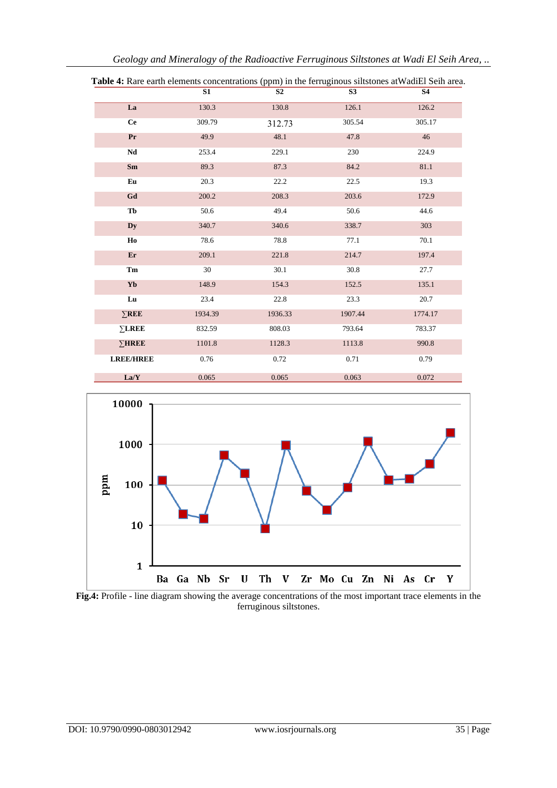|                  | S1      | S <sub>2</sub> | S <sub>3</sub> | <b>S4</b> |
|------------------|---------|----------------|----------------|-----------|
| La               | 130.3   | 130.8          | 126.1          | 126.2     |
| <b>Ce</b>        | 309.79  | 312.73         | 305.54         | 305.17    |
| Pr               | 49.9    | 48.1           | 47.8           | 46        |
| Nd               | 253.4   | 229.1          | 230            | 224.9     |
| Sm               | 89.3    | 87.3           | 84.2           | 81.1      |
| Eu               | 20.3    | 22.2           | 22.5           | 19.3      |
| Gd               | 200.2   | 208.3          | 203.6          | 172.9     |
| Tb               | 50.6    | 49.4           | 50.6           | 44.6      |
| Dy               | 340.7   | 340.6          | 338.7          | 303       |
| Ho               | 78.6    | 78.8           | 77.1           | 70.1      |
| Er               | 209.1   | 221.8          | 214.7          | 197.4     |
| Tm               | 30      | 30.1           | 30.8           | 27.7      |
| Yb               | 148.9   | 154.3          | 152.5          | 135.1     |
| Lu               | 23.4    | 22.8           | 23.3           | 20.7      |
| $\Sigma$ REE     | 1934.39 | 1936.33        | 1907.44        | 1774.17   |
| $\Sigma$ LREE    | 832.59  | 808.03         | 793.64         | 783.37    |
| $\Sigma$ HREE    | 1101.8  | 1128.3         | 1113.8         | 990.8     |
| <b>LREE/HREE</b> | 0.76    | 0.72           | 0.71           | 0.79      |
| La/Y             | 0.065   | 0.065          | 0.063          | 0.072     |

**Table 4:** Rare earth elements concentrations (ppm) in the ferruginous siltstones at WadiEl Seih area.



**Fig.4:** Profile - line diagram showing the average concentrations of the most important trace elements in the ferruginous siltstones.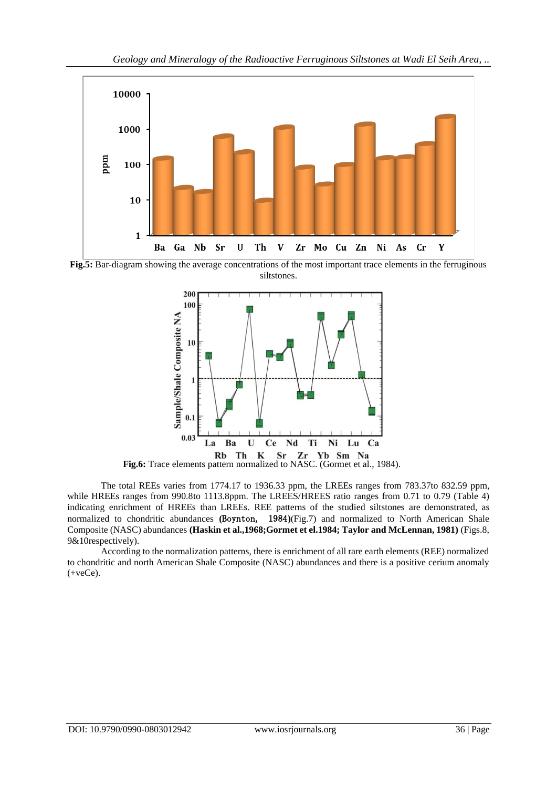

**Fig.5:** Bar-diagram showing the average concentrations of the most important trace elements in the ferruginous siltstones.



**Fig.6:** Trace elements pattern normalized to NASC. (Gormet et al., 1984).

The total REEs varies from 1774.17 to 1936.33 ppm, the LREEs ranges from 783.37to 832.59 ppm, while HREEs ranges from 990.8to 1113.8ppm. The LREES/HREES ratio ranges from 0.71 to 0.79 (Table 4) indicating enrichment of HREEs than LREEs. REE patterns of the studied siltstones are demonstrated, as normalized to chondritic abundances **(**Boynton, 1984**)**(Fig.7) and normalized to North American Shale Composite (NASC) abundances **(Haskin et al.,1968;Gormet et el.1984; Taylor and McLennan, 1981)** (Figs.8, 9&10respectively).

According to the normalization patterns, there is enrichment of all rare earth elements (REE) normalized to chondritic and north American Shale Composite (NASC) abundances and there is a positive cerium anomaly (+veCe).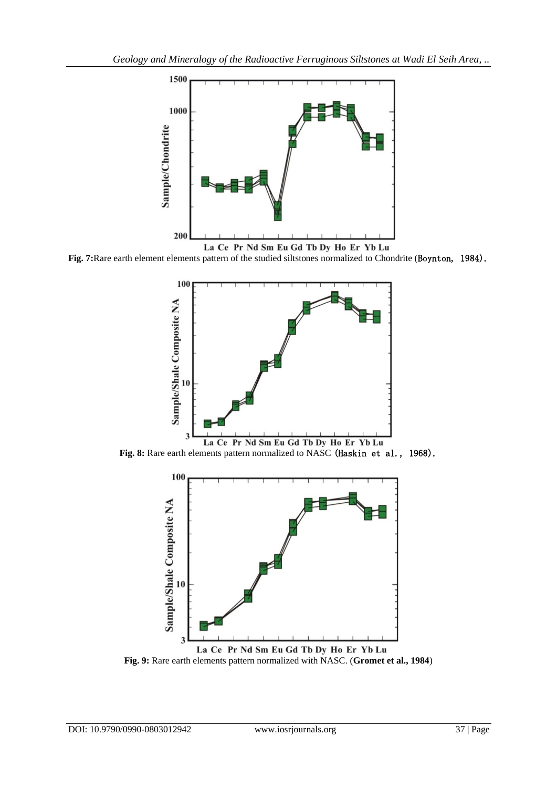

**Fig. 7:**Rare earth element elements pattern of the studied siltstones normalized to Chondrite (Boynton, 1984).



**Fig. 8:** Rare earth elements pattern normalized to NASC (Haskin et al., 1968).



La Ce Pr Nd Sm Eu Gd Tb Dy Ho Er Yb Lu **Fig. 9:** Rare earth elements pattern normalized with NASC. (**Gromet et al., 1984**)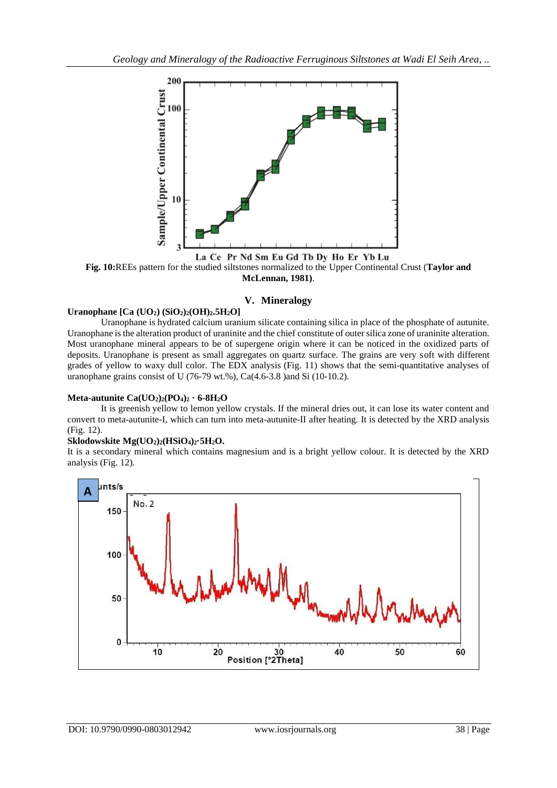

**Fig. 10:**REEs pattern for the studied siltstones normalized to the Upper Continental Crust (**Taylor and McLennan, 1981)**.

# **V. Mineralogy**

# **Uranophane [Ca (UO2) (SiO2)2(OH)2.5H2O]**

Uranophane is hydrated calcium uranium silicate containing silica in place of the phosphate of autunite. Uranophane is the alteration product of uraninite and the chief constitute of outer silica zone of uraninite alteration. Most uranophane mineral appears to be of supergene origin where it can be noticed in the oxidized parts of deposits. Uranophane is present as small aggregates on quartz surface. The grains are very soft with different grades of yellow to waxy dull color. The EDX analysis (Fig. 11) shows that the semi-quantitative analyses of uranophane grains consist of U (76-79 wt.%), Ca(4.6-3.8 )and Si (10-10.2).

#### **Meta-autunite**  $Ca(UO_2)_2$  $(PO_4)_2 \cdot 6 - 8H_2O$

It is greenish yellow to lemon yellow crystals. If the mineral dries out, it can lose its water content and convert to meta-autunite-I, which can turn into meta-autunite-II after heating. It is detected by the XRD analysis (Fig. 12).

#### **Sklodowskite Mg(UO2)2(HSiO4)2·5H2O.**

It is a secondary mineral which contains magnesium and is a bright yellow colour. It is detected by the XRD analysis (Fig. 12).

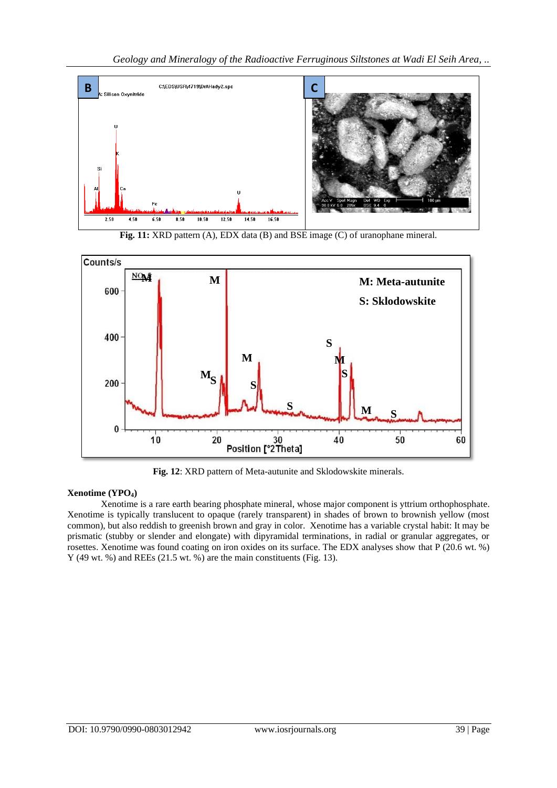





**Fig. 12**: XRD pattern of Meta-autunite and Sklodowskite minerals.

# **Xenotime (YPO4)**

Xenotime is a [rare earth](http://en.wikipedia.org/wiki/Rare_earth_element) bearing [phosphate mineral,](http://en.wikipedia.org/wiki/Phosphate_mineral) whose major component is yttrium orthophosphate. Xenotime is typically translucent to opaque (rarely transparent) in shades of brown to brownish yellow (most common), but also reddish to greenish brown and gray in color. Xenotime has a variable crystal [habit:](http://en.wikipedia.org/wiki/Crystal_habit) It may be prismatic (stubby or slender and elongate) with dipyramidal terminations, in radial or granular aggregates, or rosettes. Xenotime was found coating on iron oxides on its surface. The EDX analyses show that P (20.6 wt. %) Y (49 wt. %) and REEs (21.5 wt. %) are the main constituents (Fig. 13).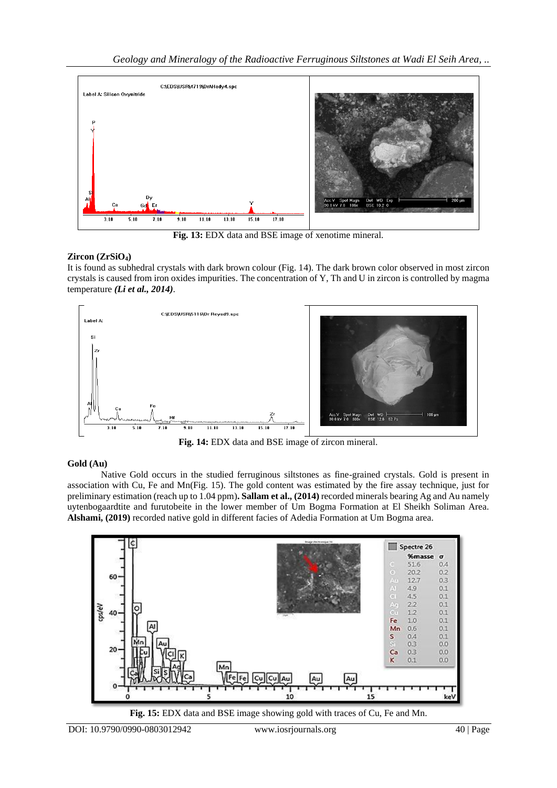

**Fig. 13:** EDX data and BSE image of xenotime mineral.

# **Zircon (ZrSiO4)**

It is found as subhedral crystals with dark brown colour (Fig. 14). The dark brown color observed in most zircon crystals is caused from iron oxides impurities. The concentration of Y, Th and U in zircon is controlled by magma temperature *(Li et al., 2014)*.



**Fig. 14:** EDX data and BSE image of zircon mineral.

## **Gold (Au)**

Native Gold occurs in the studied ferruginous siltstones as fine-grained crystals. Gold is present in association with Cu, Fe and Mn(Fig. 15). The gold content was estimated by the fire assay technique, just for preliminary estimation (reach up to 1.04 ppm)**. Sallam et al., (2014)** recorded minerals bearing Ag and Au namely uytenbogaardtite and furutobeite in the lower member of Um Bogma Formation at El Sheikh Soliman Area. **Alshami, (2019)** recorded native gold in different facies of Adedia Formation at Um Bogma area.



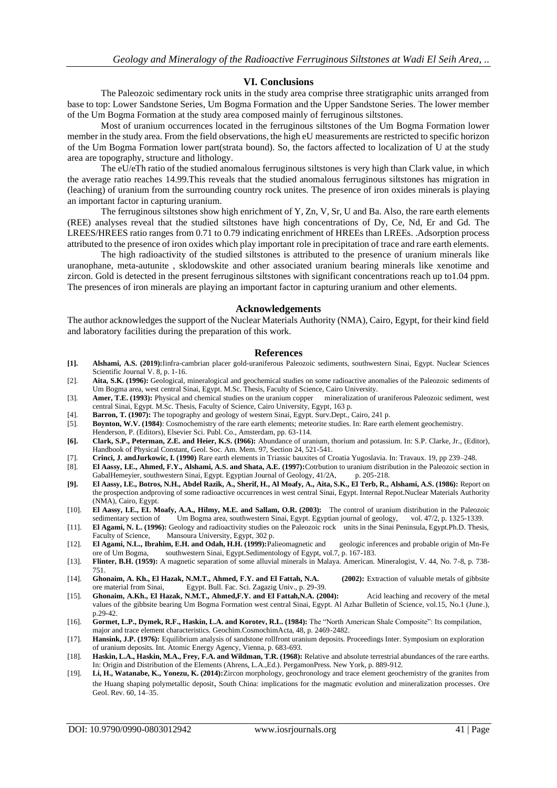#### **VI. Conclusions**

The Paleozoic sedimentary rock units in the study area comprise three stratigraphic units arranged from base to top: Lower Sandstone Series, Um Bogma Formation and the Upper Sandstone Series. The lower member of the Um Bogma Formation at the study area composed mainly of ferruginous siltstones.

Most of uranium occurrences located in the ferruginous siltstones of the Um Bogma Formation lower member in the study area. From the field observations, the high eU measurements are restricted to specific horizon of the Um Bogma Formation lower part(strata bound). So, the factors affected to localization of U at the study area are topography, structure and lithology.

The eU/eTh ratio of the studied anomalous ferruginous siltstones is very high than Clark value, in which the average ratio reaches 14.99.This reveals that the studied anomalous ferruginous siltstones has migration in (leaching) of uranium from the surrounding country rock unites. The presence of iron oxides minerals is playing an important factor in capturing uranium.

The ferruginous siltstones show high enrichment of Y, Zn, V, Sr, U and Ba. Also, the rare earth elements (REE) analyses reveal that the studied siltstones have high concentrations of Dy, Ce, Nd, Er and Gd. The LREES/HREES ratio ranges from 0.71 to 0.79 indicating enrichment of HREEs than LREEs. .Adsorption process attributed to the presence of iron oxides which play important role in precipitation of trace and rare earth elements.

The high radioactivity of the studied siltstones is attributed to the presence of uranium minerals like uranophane, meta-autunite , sklodowskite and other associated uranium bearing minerals like xenotime and zircon. Gold is detected in the present ferruginous siltstones with significant concentrations reach up to1.04 ppm. The presences of iron minerals are playing an important factor in capturing uranium and other elements.

#### **Acknowledgements**

The author acknowledges the support of the Nuclear Materials Authority (NMA), Cairo, Egypt, for their kind field and laboratory facilities during the preparation of this work.

#### **References**

- **[1]. Alshami, A.S. (2019):**Iinfra-cambrian placer gold-uraniferous Paleozoic sediments, southwestern Sinai, Egypt. Nuclear Sciences Scientific Journal V. 8, p. 1-16.
- [2]. **Aita, S.K. (1996):** Geological, mineralogical and geochemical studies on some radioactive anomalies of the Paleozoic sediments of Um Bogma area, west central Sinai, Egypt. M.Sc. Thesis, Faculty of Science, Cairo University.
- [3]. **Amer, T.E. (1993):** Physical and chemical studies on the uranium copper mineralization of uraniferous Paleozoic sediment, west central Sinai, Egypt. M.Sc. Thesis, Faculty of Science, Cairo University, Egypt, 163 p.
- [4]. **Barron, T. (1907):** The topography and geology of western Sinai, Egypt. Surv.Dept., Cairo, 241 p. [5]. **Boynton, W.V. (1984**): Cosmochemistry of the rare earth elements; meteorite studies. In: Rare earth
- [5]. **Boynton, W.V. (1984)**: Cosmochemistry of the rare earth elements; meteorite studies. In: Rare earth element geochemistry.
- Henderson, P. (Editors), Elsevier Sci. Publ. Co., Amsterdam, pp. 63-114.
- **[6]. Clark, S.P., Peterman, Z.E. and Heier, K.S. (I966):** Abundance of uranium, thorium and potassium. In: S.P. Clarke, Jr., (Editor), Handbook of Physical Constant, Geol. Soc. Am. Mem. 97, Section 24, 521-541.
- [7]. **Crinci, J. andJurkowic, I. (1990)** Rare earth elements in Triassic bauxites of Croatia Yugoslavia. In: Travaux. 19, pp 239–248.
- [8]. **El Aassy, I.E., Ahmed, F.Y., Alshami, A.S. and Shata, A.E. (1997):**Cotrbution to uranium distribution in the Paleozoic section in GabalHemeyier, southwestern Sinai, Egypt. Egyptian Journal of Geology, 41/2A, p. 205-218.
- **[9]. El Aassy, I.E., Botros, N.H., Abdel Razik, A., Sherif, H., Al Moafy, A., Aita, S.K., El Terb, R., Alshami, A.S. (1986):** Report on the prospection andproving of some radioactive occurrences in west central Sinai, Egypt. Internal Repot.Nuclear Materials Authority (NMA), Cairo, Egypt.
- [10]. **El Aassy, I.E., EL Moafy, A.A., Hilmy, M.E. and Sallam, O.R. (2003):** The control of uranium distribution in the Paleozoic sedimentary section of Um Bogma area, southwestern Sinai, Egypt. Egyptian journal of geology,
- [11]. **El Agami, N. L. (1996):** Geology and radioactivity studies on the Paleozoic rock units in the Sinai Peninsula, Egypt.Ph.D. Thesis, Faculty of Science, Mansoura University, Egypt, 302 p.
- [12]. **El Agami, N.L., Ibrahim, E.H. and Odah, H.H. (1999):**Palieomagnetic and geologic inferences and probable origin of Mn-Fe ore of Um Bogma, southwestern Sinai, Egypt.Sedimentology of Egypt, vol.7, p. 167-183.
- [13]. **Flinter, B.H. (1959):** A magnetic separation of some alluvial minerals in Malaya. American. Mineralogist, V. 44, No. 7-8, p. 738- 751.
- [14]. **Ghonaim, A. Kh., El Hazak, N.M.T., Ahmed, F.Y. and El Fattah, N.A. (2002):** Extraction of valuable metals of gibbsite ore material from Sinai, Egypt. Bull. Fac. Sci. Zagazig Univ., p. 29-39.
- [15]. Ghonaim, A.Kh., El Hazak, N.M.T., Ahmed,F.Y. and El Fattah, N.A. (2004): Acid leaching and recovery of the metal values of the gibbsite bearing Um Bogma Formation west central Sinai, Egypt. Al Azhar Bulletin of Science, vol.15, No.1 (June.), p.29-42.
- [16]. **Gormet, L.P., Dymek, R.F., Haskin, L.A. and Korotev, R.L. (1984):** The "North American Shale Composite": Its compilation, major and trace element characteristics. Geochim.CosmochimActa, 48, p. 2469-2482.
- [17]. **Hansink, J.P. (1976):** Equilibrium analysis of sandstone rollfront uranium deposits. Proceedings Inter. Symposium on exploration of uranium deposits. Int. Atomic Energy Agency, Vienna, p. 683-693.
- [18]. **Haskin, L.A., Haskin, M.A., Frey, F.A. and Wildman, T.R. (1968):** Relative and absolute terrestrial abundances of the rare earths. In: Origin and Distribution of the Elements (Ahrens, L.A.,Ed.). PergamonPress. New York, p. 889-912.
- [19]. **Li, H., Watanabe, K., Yonezu, K. (2014):**Zircon morphology, geochronology and trace element geochemistry of the granites from the Huang shaping polymetallic deposit, South China: implications for the magmatic evolution and mineralization processes. Ore Geol. Rev. 60, 14–35.